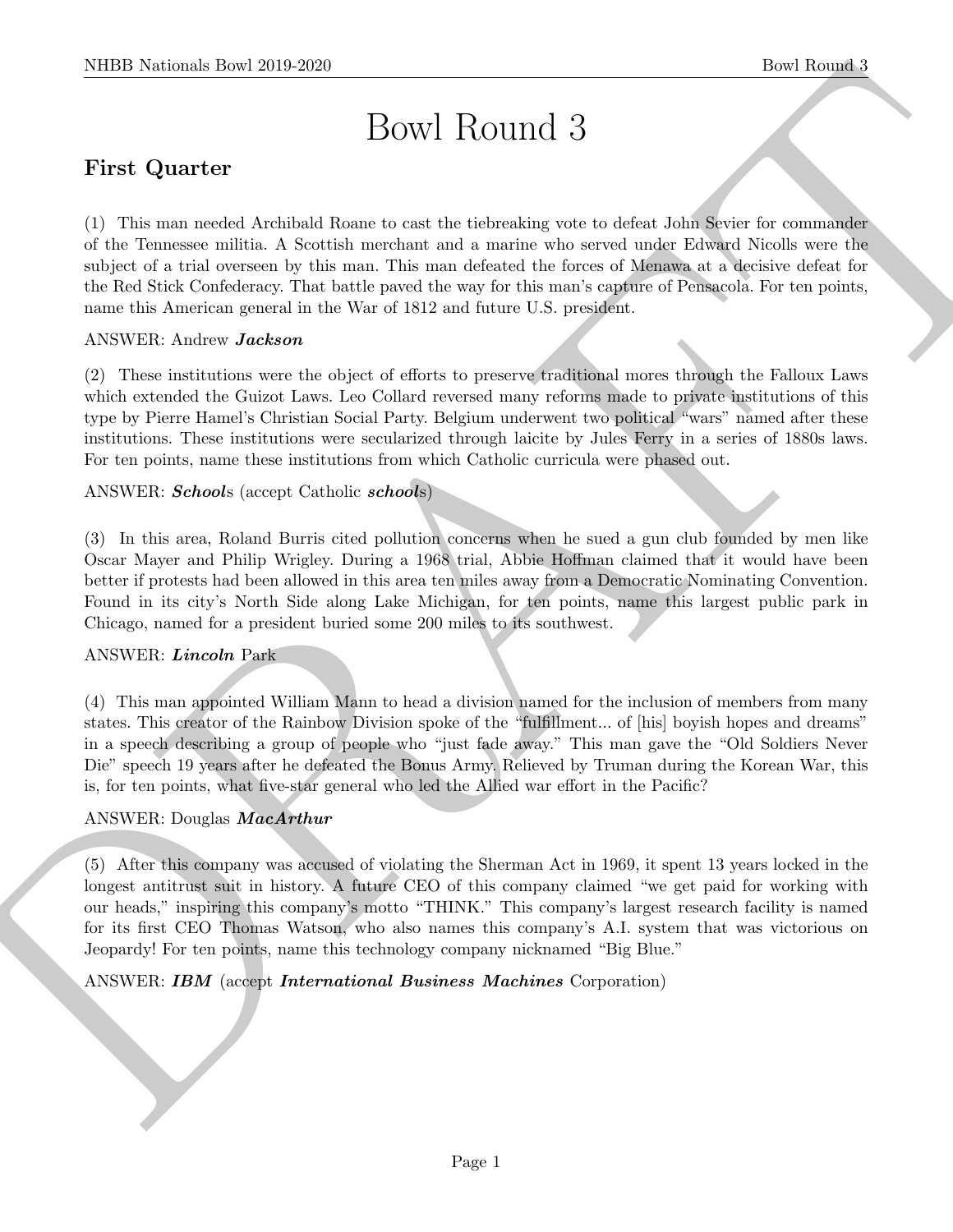# Bowl Round 3

# First Quarter

NIBB Noticeals lines 2019-2020<br>
Devel Round 1<br>
Devel Round 1<br>
DEVI ROUTICI 3<br>
These Contents<br>
(1) The vary would be<br>table Round and a showled spectral spectra and simulations are developed<br>
and the distribution procedure (1) This man needed Archibald Roane to cast the tiebreaking vote to defeat John Sevier for commander of the Tennessee militia. A Scottish merchant and a marine who served under Edward Nicolls were the subject of a trial overseen by this man. This man defeated the forces of Menawa at a decisive defeat for the Red Stick Confederacy. That battle paved the way for this man's capture of Pensacola. For ten points, name this American general in the War of 1812 and future U.S. president.

#### ANSWER: Andrew Jackson

(2) These institutions were the object of efforts to preserve traditional mores through the Falloux Laws which extended the Guizot Laws. Leo Collard reversed many reforms made to private institutions of this type by Pierre Hamel's Christian Social Party. Belgium underwent two political "wars" named after these institutions. These institutions were secularized through laicite by Jules Ferry in a series of 1880s laws. For ten points, name these institutions from which Catholic curricula were phased out.

ANSWER: Schools (accept Catholic schools)

(3) In this area, Roland Burris cited pollution concerns when he sued a gun club founded by men like Oscar Mayer and Philip Wrigley. During a 1968 trial, Abbie Hoffman claimed that it would have been better if protests had been allowed in this area ten miles away from a Democratic Nominating Convention. Found in its city's North Side along Lake Michigan, for ten points, name this largest public park in Chicago, named for a president buried some 200 miles to its southwest.

#### ANSWER: Lincoln Park

(4) This man appointed William Mann to head a division named for the inclusion of members from many states. This creator of the Rainbow Division spoke of the "fulfillment... of [his] boyish hopes and dreams" in a speech describing a group of people who "just fade away." This man gave the "Old Soldiers Never Die" speech 19 years after he defeated the Bonus Army. Relieved by Truman during the Korean War, this is, for ten points, what five-star general who led the Allied war effort in the Pacific?

#### ANSWER: Douglas MacArthur

(5) After this company was accused of violating the Sherman Act in 1969, it spent 13 years locked in the longest antitrust suit in history. A future CEO of this company claimed "we get paid for working with our heads," inspiring this company's motto "THINK." This company's largest research facility is named for its first CEO Thomas Watson, who also names this company's A.I. system that was victorious on Jeopardy! For ten points, name this technology company nicknamed "Big Blue."

#### ANSWER: IBM (accept International Business Machines Corporation)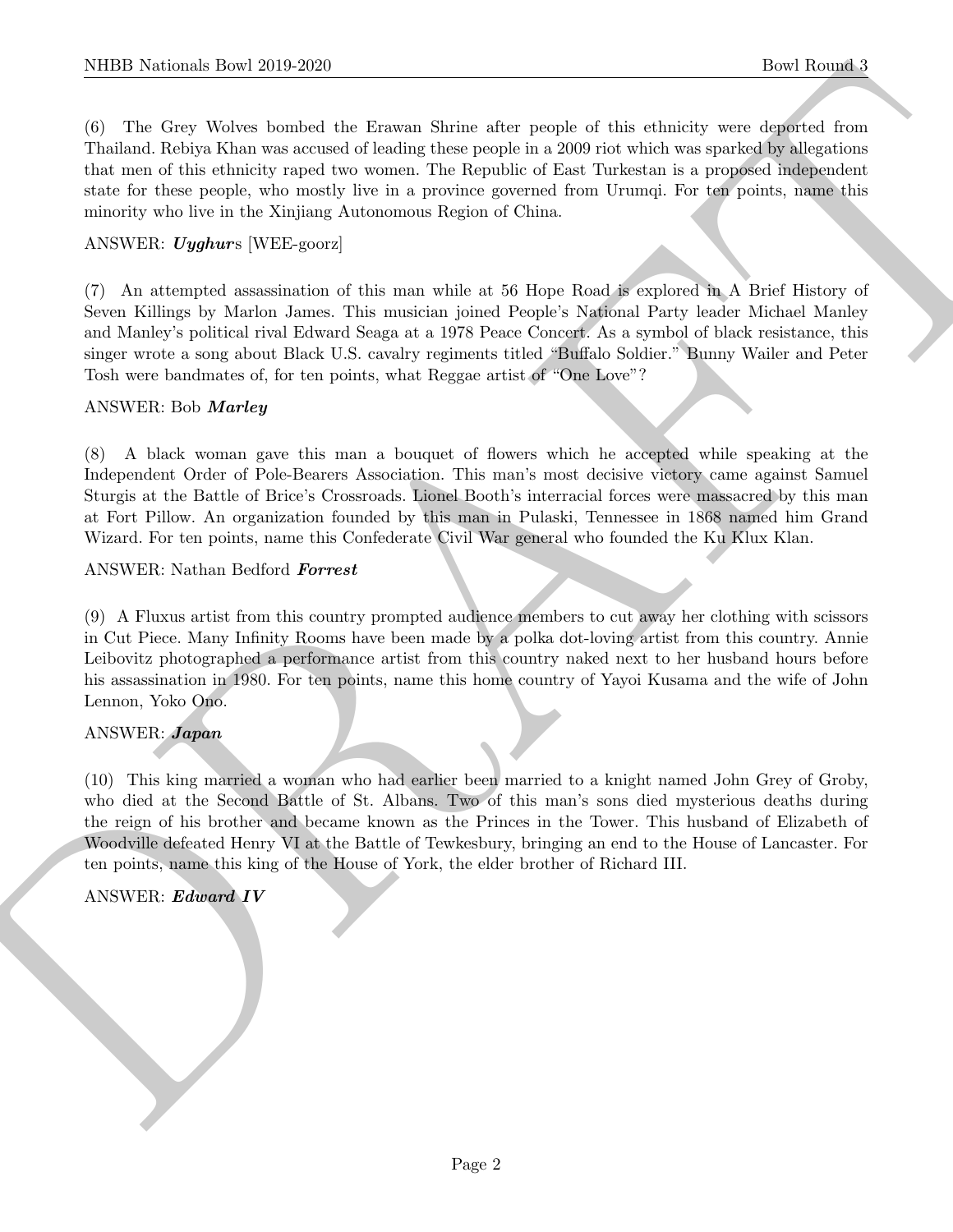(6) The Grey Wolves bombed the Erawan Shrine after people of this ethnicity were deported from Thailand. Rebiya Khan was accused of leading these people in a 2009 riot which was sparked by allegations that men of this ethnicity raped two women. The Republic of East Turkestan is a proposed independent state for these people, who mostly live in a province governed from Urumqi. For ten points, name this minority who live in the Xinjiang Autonomous Region of China.

#### ANSWER: Uyghurs [WEE-goorz]

(7) An attempted assassination of this man while at 56 Hope Road is explored in A Brief History of Seven Killings by Marlon James. This musician joined People's National Party leader Michael Manley and Manley's political rival Edward Seaga at a 1978 Peace Concert. As a symbol of black resistance, this singer wrote a song about Black U.S. cavalry regiments titled "Buffalo Soldier." Bunny Wailer and Peter Tosh were bandmates of, for ten points, what Reggae artist of "One Love"?

#### ANSWER: Bob Marley

(8) A black woman gave this man a bouquet of flowers which he accepted while speaking at the Independent Order of Pole-Bearers Association. This man's most decisive victory came against Samuel Sturgis at the Battle of Brice's Crossroads. Lionel Booth's interracial forces were massacred by this man at Fort Pillow. An organization founded by this man in Pulaski, Tennessee in 1868 named him Grand Wizard. For ten points, name this Confederate Civil War general who founded the Ku Klux Klan.

#### ANSWER: Nathan Bedford Forrest

(9) A Fluxus artist from this country prompted audience members to cut away her clothing with scissors in Cut Piece. Many Infinity Rooms have been made by a polka dot-loving artist from this country. Annie Leibovitz photographed a performance artist from this country naked next to her husband hours before his assassination in 1980. For ten points, name this home country of Yayoi Kusama and the wife of John Lennon, Yoko Ono.

#### ANSWER: Japan

NIBB Notionals how 2019-2020<br>
(b) These United Research States where points and the simulation were also included with the main of the simulation of the simulation of the simulation of the simulation of the simulation of (10) This king married a woman who had earlier been married to a knight named John Grey of Groby, who died at the Second Battle of St. Albans. Two of this man's sons died mysterious deaths during the reign of his brother and became known as the Princes in the Tower. This husband of Elizabeth of Woodville defeated Henry VI at the Battle of Tewkesbury, bringing an end to the House of Lancaster. For ten points, name this king of the House of York, the elder brother of Richard III.

#### ANSWER: Edward IV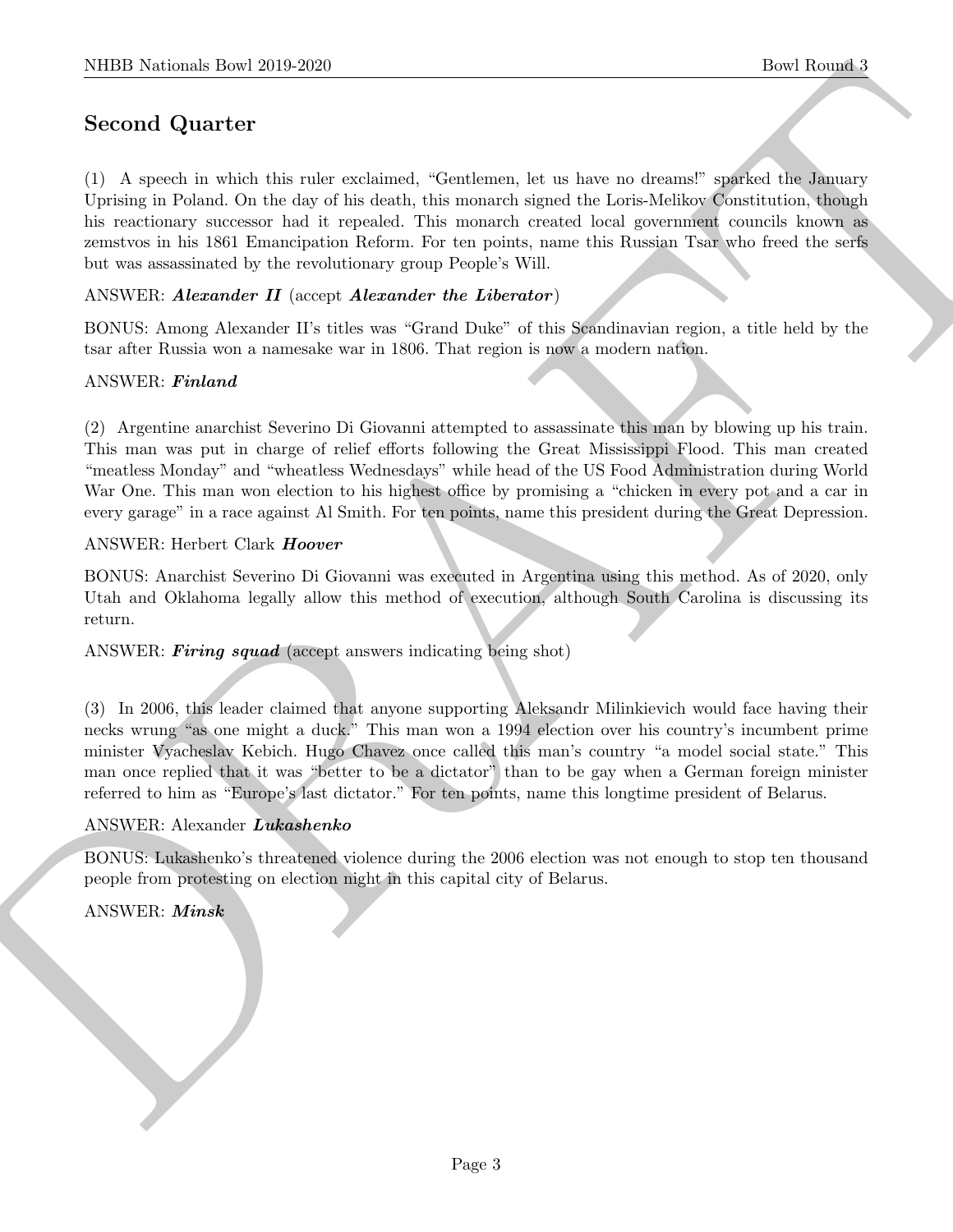# Second Quarter

NIBB Notional: David 2010-2020<br>
Second. Quart for<br>
Constant (Somitation, and as large an since the London Constant (Somitation (Somitation About)<br>
Upsing in Folad Constant in the probability contrained the London Second I (1) A speech in which this ruler exclaimed, "Gentlemen, let us have no dreams!" sparked the January Uprising in Poland. On the day of his death, this monarch signed the Loris-Melikov Constitution, though his reactionary successor had it repealed. This monarch created local government councils known as zemstvos in his 1861 Emancipation Reform. For ten points, name this Russian Tsar who freed the serfs but was assassinated by the revolutionary group People's Will.

ANSWER: Alexander II (accept Alexander the Liberator)

BONUS: Among Alexander II's titles was "Grand Duke" of this Scandinavian region, a title held by the tsar after Russia won a namesake war in 1806. That region is now a modern nation.

#### ANSWER: Finland

(2) Argentine anarchist Severino Di Giovanni attempted to assassinate this man by blowing up his train. This man was put in charge of relief efforts following the Great Mississippi Flood. This man created "meatless Monday" and "wheatless Wednesdays" while head of the US Food Administration during World War One. This man won election to his highest office by promising a "chicken in every pot and a car in every garage" in a race against Al Smith. For ten points, name this president during the Great Depression.

#### ANSWER: Herbert Clark Hoover

BONUS: Anarchist Severino Di Giovanni was executed in Argentina using this method. As of 2020, only Utah and Oklahoma legally allow this method of execution, although South Carolina is discussing its return.

ANSWER: Firing squad (accept answers indicating being shot)

(3) In 2006, this leader claimed that anyone supporting Aleksandr Milinkievich would face having their necks wrung "as one might a duck." This man won a 1994 election over his country's incumbent prime minister Vyacheslav Kebich. Hugo Chavez once called this man's country "a model social state." This man once replied that it was "better to be a dictator" than to be gay when a German foreign minister referred to him as "Europe's last dictator." For ten points, name this longtime president of Belarus.

#### ANSWER: Alexander Lukashenko

BONUS: Lukashenko's threatened violence during the 2006 election was not enough to stop ten thousand people from protesting on election night in this capital city of Belarus.

ANSWER: Minsk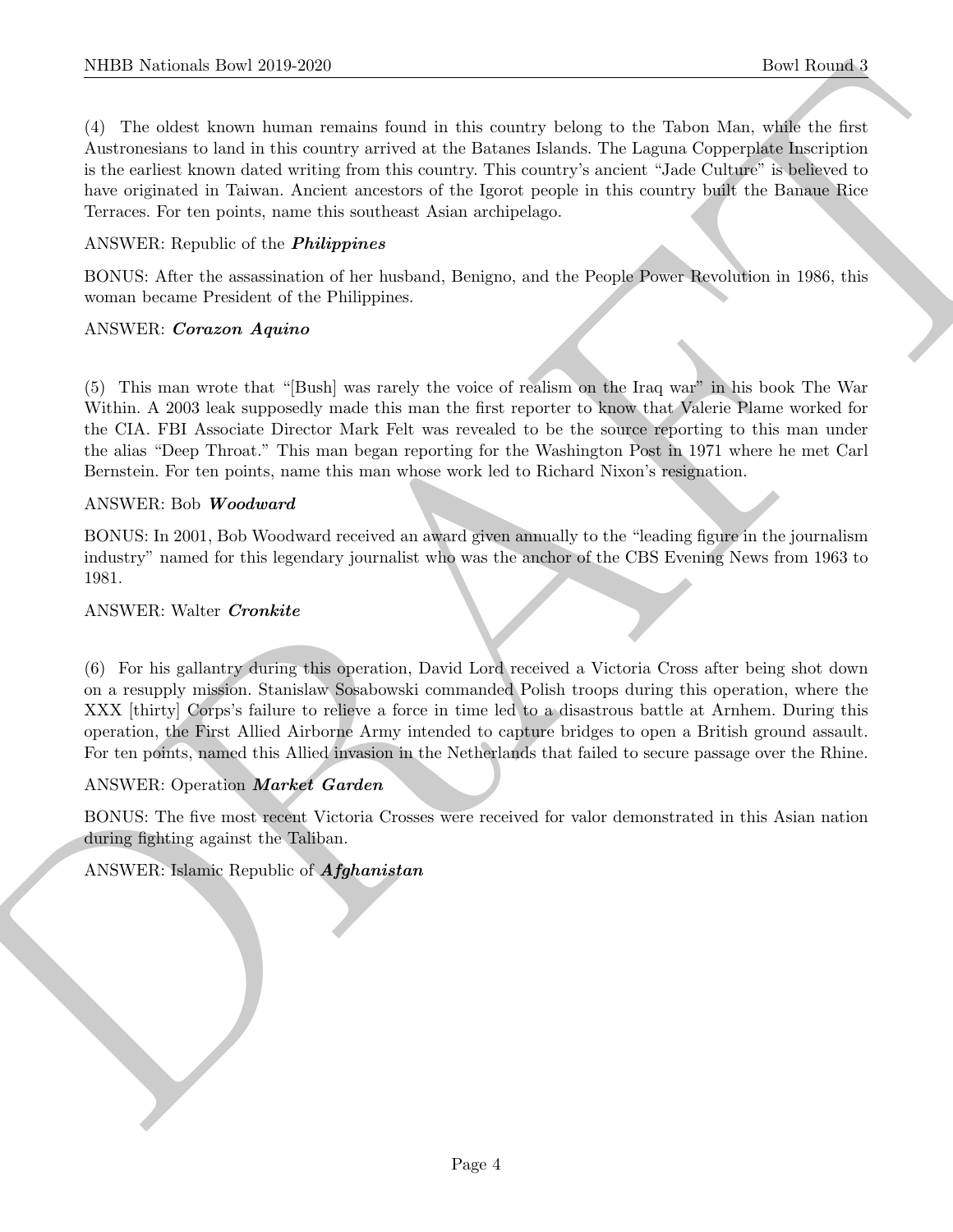(4) The oldest known human remains found in this country belong to the Tabon Man, while the first Austronesians to land in this country arrived at the Batanes Islands. The Laguna Copperplate Inscription is the earliest known dated writing from this country. This country's ancient "Jade Culture" is believed to have originated in Taiwan. Ancient ancestors of the Igorot people in this country built the Banaue Rice Terraces. For ten points, name this southeast Asian archipelago.

#### ANSWER: Republic of the Philippines

BONUS: After the assassination of her husband, Benigno, and the People Power Revolution in 1986, this woman became President of the Philippines.

#### ANSWER: Corazon Aquino

(5) This man wrote that "[Bush] was rarely the voice of realism on the Iraq war" in his book The War Within. A 2003 leak supposedly made this man the first reporter to know that Valerie Plame worked for the CIA. FBI Associate Director Mark Felt was revealed to be the source reporting to this man under the alias "Deep Throat." This man began reporting for the Washington Post in 1971 where he met Carl Bernstein. For ten points, name this man whose work led to Richard Nixon's resignation.

#### ANSWER: Bob Woodward

BONUS: In 2001, Bob Woodward received an award given annually to the "leading figure in the journalism industry" named for this legendary journalist who was the anchor of the CBS Evening News from 1963 to 1981.

#### ANSWER: Walter Cronkite

NIBB Notionals how 2019-2020<br>
(1) The able known there is no analyze for the Roman by the space of the Roman Control of the able to the space of the factor Article computer is a control of the factor of the space of the f (6) For his gallantry during this operation, David Lord received a Victoria Cross after being shot down on a resupply mission. Stanislaw Sosabowski commanded Polish troops during this operation, where the XXX [thirty] Corps's failure to relieve a force in time led to a disastrous battle at Arnhem. During this operation, the First Allied Airborne Army intended to capture bridges to open a British ground assault. For ten points, named this Allied invasion in the Netherlands that failed to secure passage over the Rhine.

#### ANSWER: Operation Market Garden

BONUS: The five most recent Victoria Crosses were received for valor demonstrated in this Asian nation during fighting against the Taliban.

#### ANSWER: Islamic Republic of Afghanistan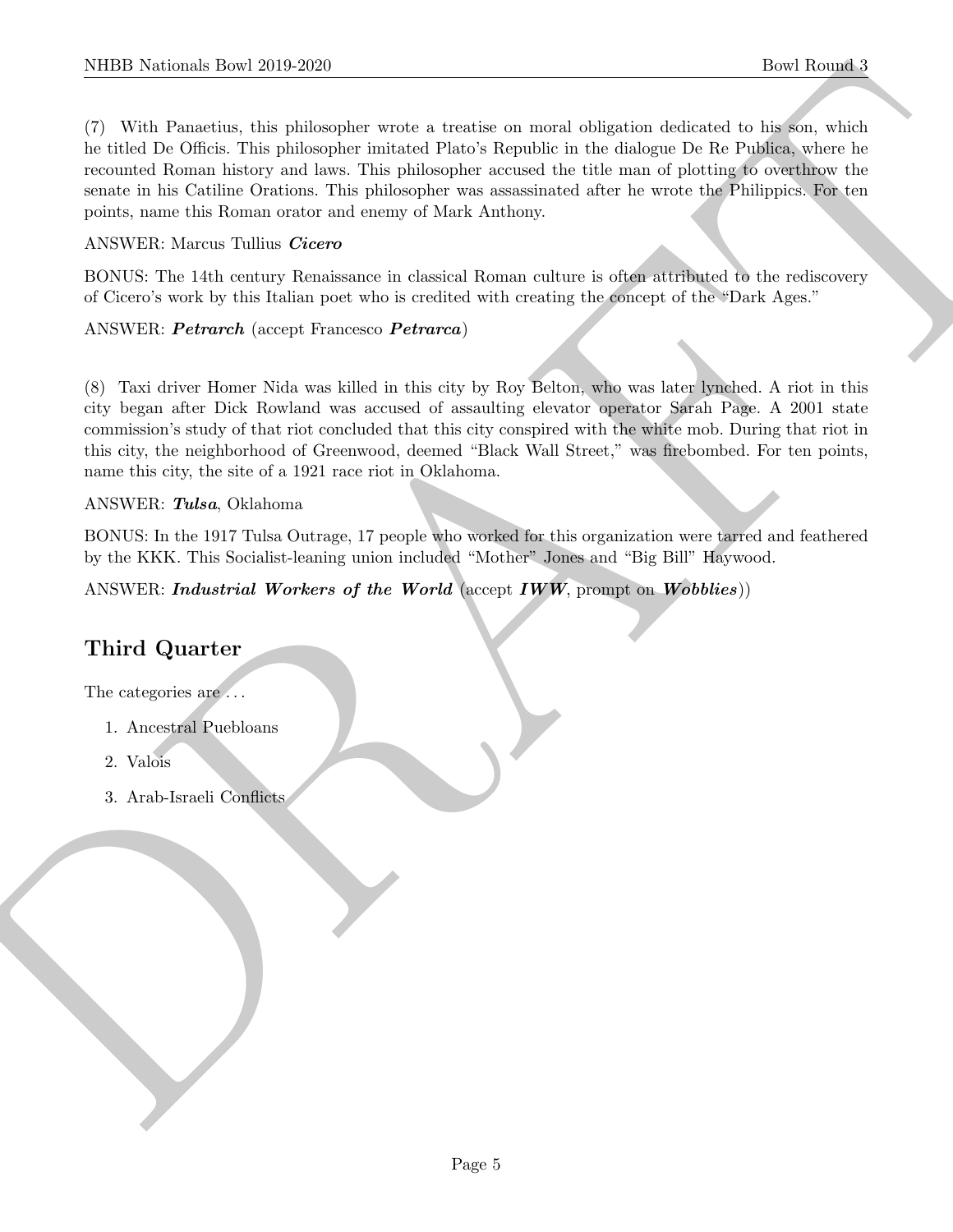NIBB Notional: Bowl 2019-2020<br>
To With Passelian (i.e. gialonogen would also be a basilie correspond of<br>distance absolute to the first of the photospher terms of Passelian and of<br>distance the basiline of the photospher te (7) With Panaetius, this philosopher wrote a treatise on moral obligation dedicated to his son, which he titled De Officis. This philosopher imitated Plato's Republic in the dialogue De Re Publica, where he recounted Roman history and laws. This philosopher accused the title man of plotting to overthrow the senate in his Catiline Orations. This philosopher was assassinated after he wrote the Philippics. For ten points, name this Roman orator and enemy of Mark Anthony.

## ANSWER: Marcus Tullius Cicero

BONUS: The 14th century Renaissance in classical Roman culture is often attributed to the rediscovery of Cicero's work by this Italian poet who is credited with creating the concept of the "Dark Ages."

## ANSWER: Petrarch (accept Francesco Petrarca)

(8) Taxi driver Homer Nida was killed in this city by Roy Belton, who was later lynched. A riot in this city began after Dick Rowland was accused of assaulting elevator operator Sarah Page. A 2001 state commission's study of that riot concluded that this city conspired with the white mob. During that riot in this city, the neighborhood of Greenwood, deemed "Black Wall Street," was firebombed. For ten points, name this city, the site of a 1921 race riot in Oklahoma.

#### ANSWER: Tulsa, Oklahoma

BONUS: In the 1917 Tulsa Outrage, 17 people who worked for this organization were tarred and feathered by the KKK. This Socialist-leaning union included "Mother" Jones and "Big Bill" Haywood.

ANSWER: Industrial Workers of the World (accept  $IWW$ , prompt on Wobblies))

# Third Quarter

The categories are  $\dots$ 

- 1. Ancestral Puebloans
- 2. Valois
- 3. Arab-Israeli Conflicts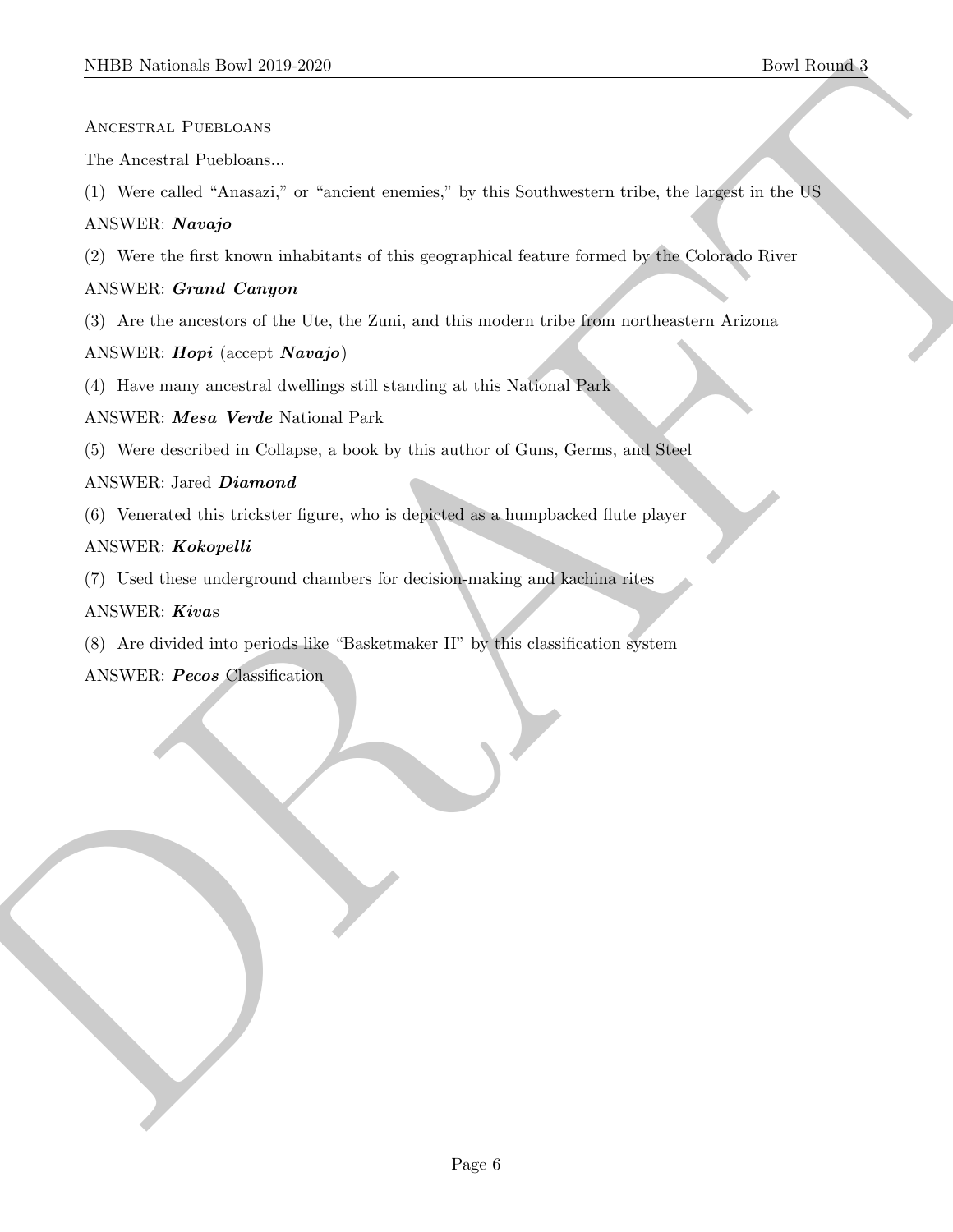Ancestral Puebloans

The Ancestral Puebloans...

(1) Were called "Anasazi," or "ancient enemies," by this Southwestern tribe, the largest in the US

## ANSWER: Navajo

MIDD Notional: Davi 2019-2020<br>
ANCESTRAL PUBLICANS<br>
LAW SERVER AREA (VIBILIALS)<br>
1. West called "Awards" at "instance contries," by this Southwestern while, the largest in the DR<br>
ANNWER: Grand Langer<br>
2.) Are the start kn (2) Were the first known inhabitants of this geographical feature formed by the Colorado River

## ANSWER: Grand Canyon

(3) Are the ancestors of the Ute, the Zuni, and this modern tribe from northeastern Arizona

## ANSWER: Hopi (accept Navajo)

(4) Have many ancestral dwellings still standing at this National Park

## ANSWER: Mesa Verde National Park

(5) Were described in Collapse, a book by this author of Guns, Germs, and Steel

## ANSWER: Jared Diamond

(6) Venerated this trickster figure, who is depicted as a humpbacked flute player

## ANSWER: Kokopelli

(7) Used these underground chambers for decision-making and kachina rites

## ANSWER: Kivas

(8) Are divided into periods like "Basketmaker II" by this classification system

ANSWER: Pecos Classification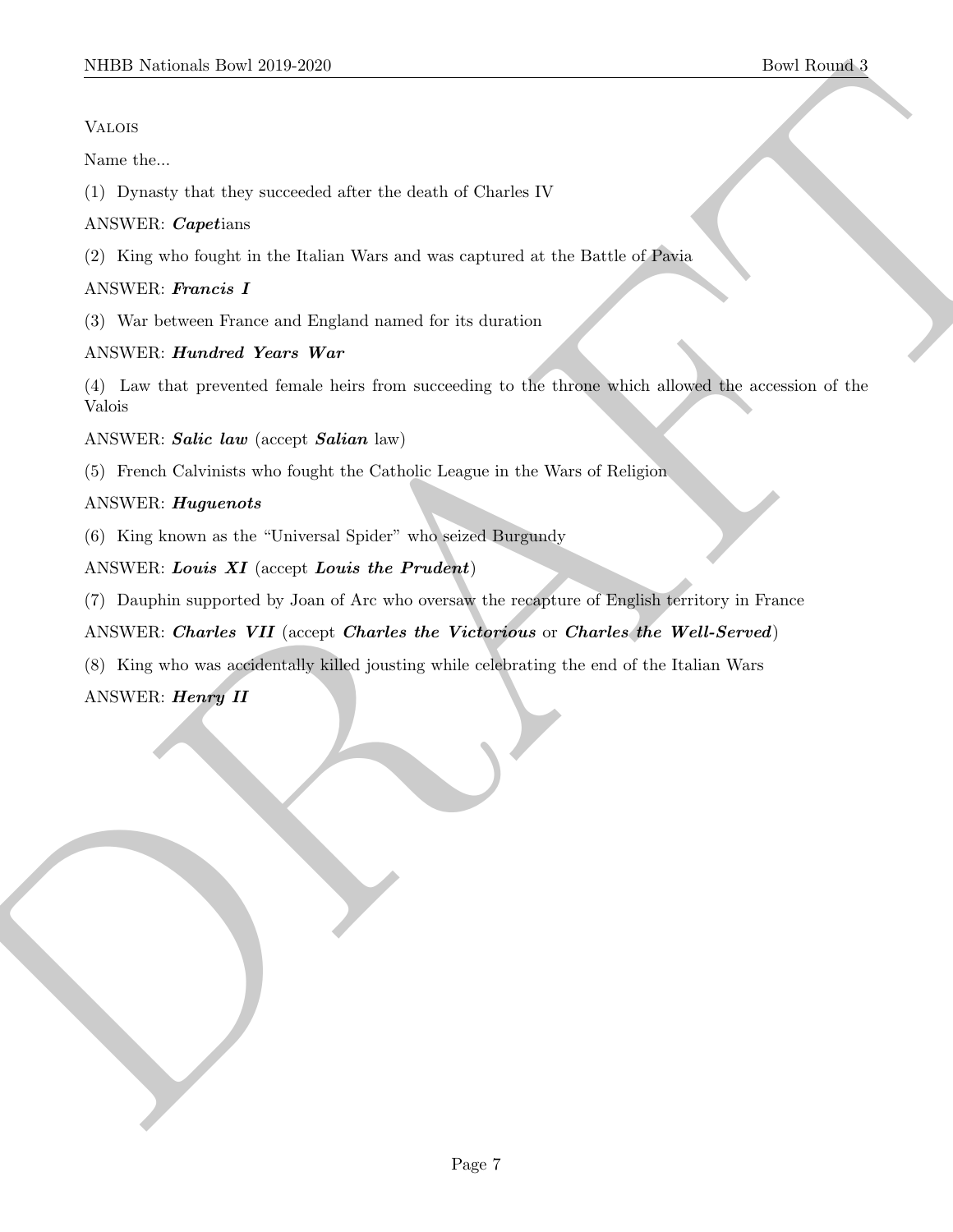## Valois

Name the...

(1) Dynasty that they succeeded after the death of Charles IV

# ANSWER: Capetians

(2) King who fought in the Italian Wars and was captured at the Battle of Pavia

# ANSWER: Francis I

(3) War between France and England named for its duration

# ANSWER: Hundred Years War

MIDD Notional: Dow 2019-2020<br>
Notes<br>
Notes<br>
Notes<br>
Notes<br>
Now the Constraint Figure consider the fact that detected the state of Charles IV<br>
ANNER: Promote Latin Wester War and Simplex moves of the detection<br>
ANNER: Promot (4) Law that prevented female heirs from succeeding to the throne which allowed the accession of the Valois

ANSWER: Salic law (accept Salian law)

(5) French Calvinists who fought the Catholic League in the Wars of Religion

## ANSWER: Huguenots

(6) King known as the "Universal Spider" who seized Burgundy

# ANSWER: Louis  $XI$  (accept Louis the Prudent)

(7) Dauphin supported by Joan of Arc who oversaw the recapture of English territory in France

# ANSWER: Charles VII (accept Charles the Victorious or Charles the Well-Served)

(8) King who was accidentally killed jousting while celebrating the end of the Italian Wars

# ANSWER: Henry II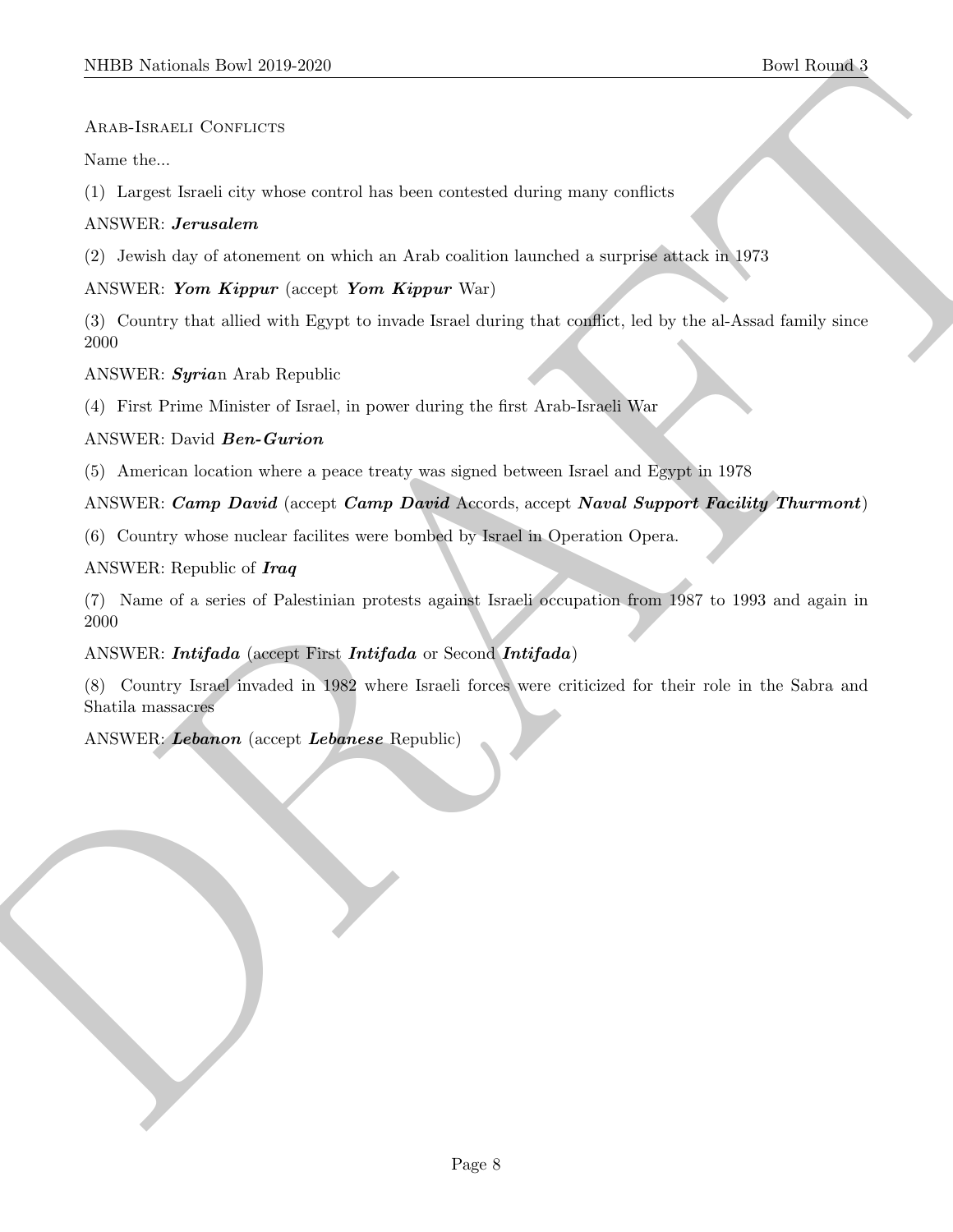#### ARAB-ISRAELI CONFLICTS

Name the...

(1) Largest Israeli city whose control has been contested during many conflicts

#### ANSWER: Jerusalem

(2) Jewish day of atonement on which an Arab coalition launched a surprise attack in 1973

## ANSWER: Yom Kippur (accept Yom Kippur War)

MIDD Neideals Dow 2019-2020<br>
ARAS-1965/213 Concurses<br>
New theoremonic discussions are contracted in the best contracted disting many confiders<br>
(1) Largest band is significant contract line for matrices disting many confid (3) Country that allied with Egypt to invade Israel during that conflict, led by the al-Assad family since 2000

ANSWER: Syrian Arab Republic

(4) First Prime Minister of Israel, in power during the first Arab-Israeli War

#### ANSWER: David Ben-Gurion

(5) American location where a peace treaty was signed between Israel and Egypt in 1978

#### ANSWER: Camp David (accept Camp David Accords, accept Naval Support Facility Thurmont)

(6) Country whose nuclear facilites were bombed by Israel in Operation Opera.

#### ANSWER: Republic of Iraq

(7) Name of a series of Palestinian protests against Israeli occupation from 1987 to 1993 and again in 2000

#### ANSWER: Intifada (accept First Intifada or Second Intifada)

(8) Country Israel invaded in 1982 where Israeli forces were criticized for their role in the Sabra and Shatila massacres

#### ANSWER: Lebanon (accept Lebanese Republic)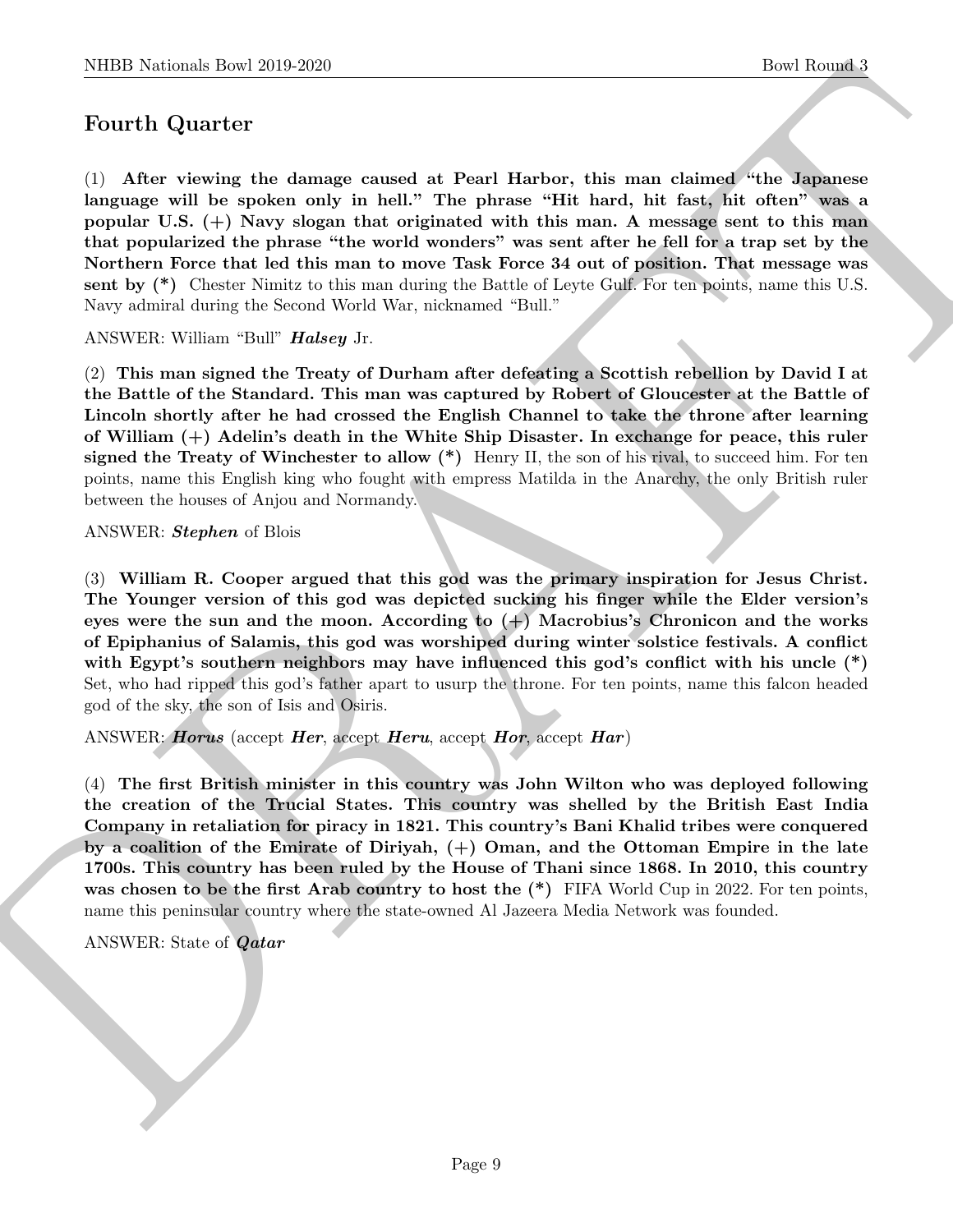# Fourth Quarter

NIBER Noticeals how 2019-2020<br>
Doet Rounds 1<br>
For Rounds 1<br>
Court Quart cert<br>
Court Quart cert<br>
Court Quart cert<br>
Court cert de change ceased at Pearl Harbot, this man, A measure between the<br>
pepular of the problem court (1) After viewing the damage caused at Pearl Harbor, this man claimed "the Japanese language will be spoken only in hell." The phrase "Hit hard, hit fast, hit often" was a popular U.S. (+) Navy slogan that originated with this man. A message sent to this man that popularized the phrase "the world wonders" was sent after he fell for a trap set by the Northern Force that led this man to move Task Force 34 out of position. That message was sent by  $(*)$  Chester Nimitz to this man during the Battle of Leyte Gulf. For ten points, name this U.S. Navy admiral during the Second World War, nicknamed "Bull."

ANSWER: William "Bull" Halsey Jr.

(2) This man signed the Treaty of Durham after defeating a Scottish rebellion by David I at the Battle of the Standard. This man was captured by Robert of Gloucester at the Battle of Lincoln shortly after he had crossed the English Channel to take the throne after learning of William (+) Adelin's death in the White Ship Disaster. In exchange for peace, this ruler signed the Treaty of Winchester to allow  $(*)$  Henry II, the son of his rival, to succeed him. For ten points, name this English king who fought with empress Matilda in the Anarchy, the only British ruler between the houses of Anjou and Normandy.

#### ANSWER: *Stephen* of Blois

(3) William R. Cooper argued that this god was the primary inspiration for Jesus Christ. The Younger version of this god was depicted sucking his finger while the Elder version's eyes were the sun and the moon. According to  $(+)$  Macrobius's Chronicon and the works of Epiphanius of Salamis, this god was worshiped during winter solstice festivals. A conflict with Egypt's southern neighbors may have influenced this god's conflict with his uncle  $(*)$ Set, who had ripped this god's father apart to usurp the throne. For ten points, name this falcon headed god of the sky, the son of Isis and Osiris.

ANSWER: *Horus* (accept *Her*, accept *Heru*, accept *Hor*, accept *Har*)

(4) The first British minister in this country was John Wilton who was deployed following the creation of the Trucial States. This country was shelled by the British East India Company in retaliation for piracy in 1821. This country's Bani Khalid tribes were conquered by a coalition of the Emirate of Diriyah, (+) Oman, and the Ottoman Empire in the late 1700s. This country has been ruled by the House of Thani since 1868. In 2010, this country was chosen to be the first Arab country to host the  $(*)$  FIFA World Cup in 2022. For ten points, name this peninsular country where the state-owned Al Jazeera Media Network was founded.

#### ANSWER: State of Qatar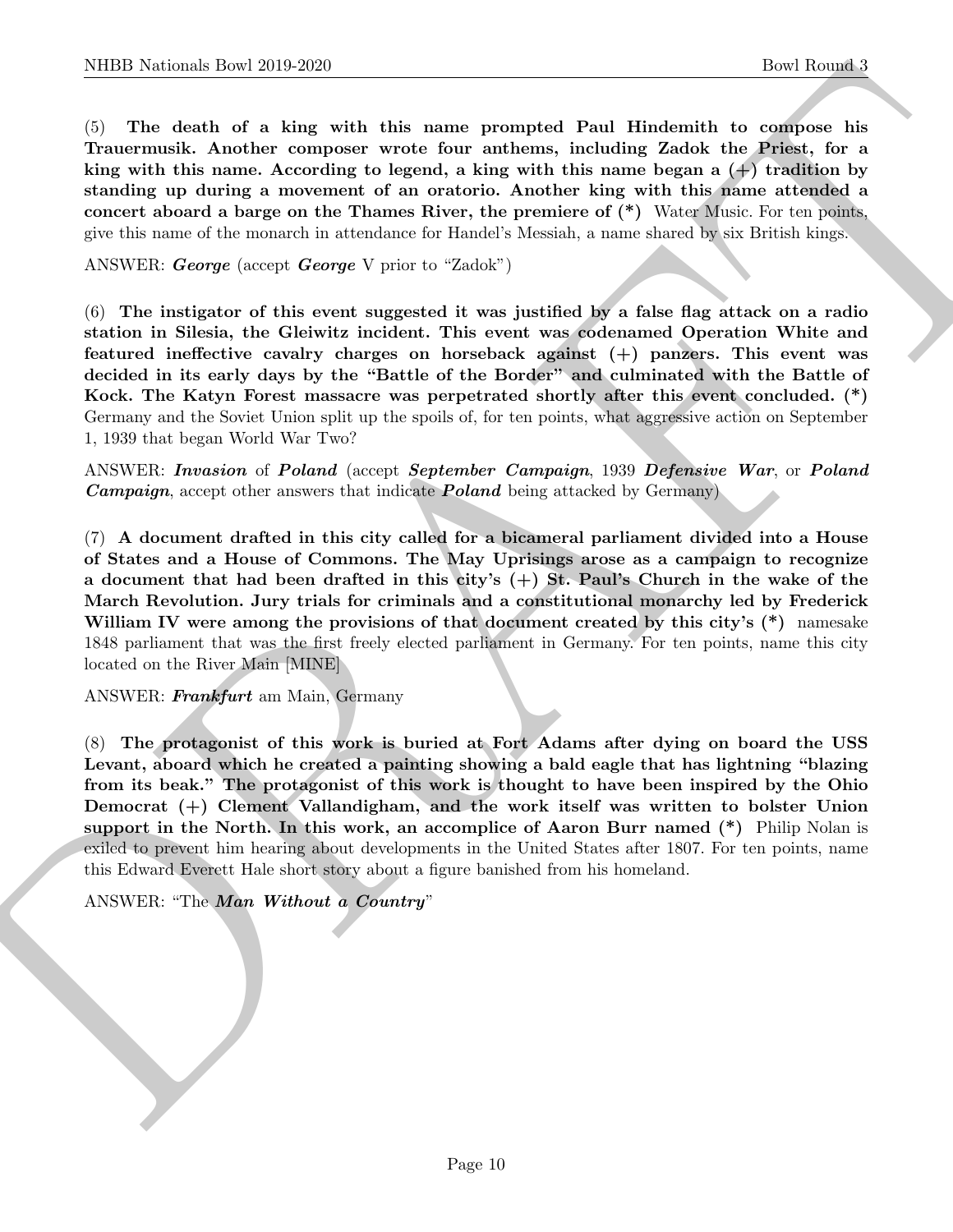(5) The death of a king with this name prompted Paul Hindemith to compose his Trauermusik. Another composer wrote four anthems, including Zadok the Priest, for a king with this name. According to legend, a king with this name began a  $(+)$  tradition by standing up during a movement of an oratorio. Another king with this name attended a concert aboard a barge on the Thames River, the premiere of (\*) Water Music. For ten points, give this name of the monarch in attendance for Handel's Messiah, a name shared by six British kings.

ANSWER: George (accept George V prior to "Zadok")

(6) The instigator of this event suggested it was justified by a false flag attack on a radio station in Silesia, the Gleiwitz incident. This event was codenamed Operation White and featured ineffective cavalry charges on horseback against (+) panzers. This event was decided in its early days by the "Battle of the Border" and culminated with the Battle of Kock. The Katyn Forest massacre was perpetrated shortly after this event concluded. (\*) Germany and the Soviet Union split up the spoils of, for ten points, what aggressive action on September 1, 1939 that began World War Two?

ANSWER: Invasion of Poland (accept September Campaign, 1939 Defensive War, or Poland **Campaign**, accept other answers that indicate **Poland** being attacked by Germany)

(7) A document drafted in this city called for a bicameral parliament divided into a House of States and a House of Commons. The May Uprisings arose as a campaign to recognize a document that had been drafted in this city's (+) St. Paul's Church in the wake of the March Revolution. Jury trials for criminals and a constitutional monarchy led by Frederick William IV were among the provisions of that document created by this city's  $(*)$  namesake 1848 parliament that was the first freely elected parliament in Germany. For ten points, name this city located on the River Main [MINE]

ANSWER: Frankfurt am Main, Germany

NIBB Noticeals how 2019 2630<br>
(best Rowsel 1<br>
(c) The distribution (best Rowsel 1<br>
(c) The distribution is compared Poul Himbonida (b) converted Poul Himbonida (b) converted by the<br>state of a kine with the animal Accordin (8) The protagonist of this work is buried at Fort Adams after dying on board the USS Levant, aboard which he created a painting showing a bald eagle that has lightning "blazing from its beak." The protagonist of this work is thought to have been inspired by the Ohio Democrat (+) Clement Vallandigham, and the work itself was written to bolster Union support in the North. In this work, an accomplice of Aaron Burr named (\*) Philip Nolan is exiled to prevent him hearing about developments in the United States after 1807. For ten points, name this Edward Everett Hale short story about a figure banished from his homeland.

ANSWER: "The *Man Without a Country*"